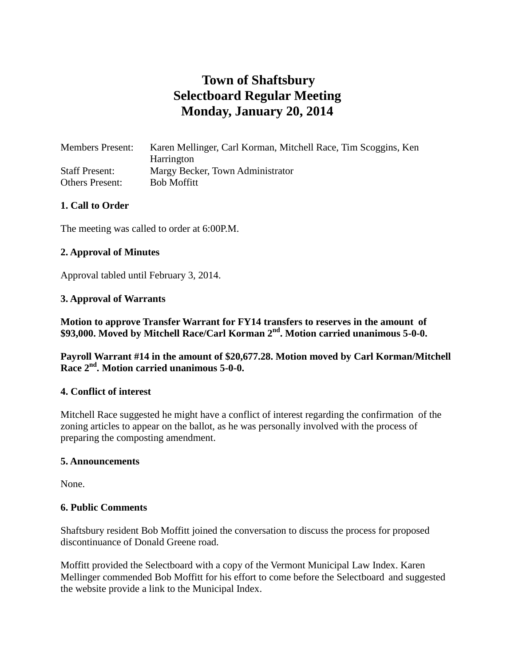# **Town of Shaftsbury Selectboard Regular Meeting Monday, January 20, 2014**

| <b>Members Present:</b> | Karen Mellinger, Carl Korman, Mitchell Race, Tim Scoggins, Ken |
|-------------------------|----------------------------------------------------------------|
|                         | Harrington                                                     |
| <b>Staff Present:</b>   | Margy Becker, Town Administrator                               |
| <b>Others Present:</b>  | <b>Bob Moffitt</b>                                             |

#### **1. Call to Order**

The meeting was called to order at 6:00P.M.

#### **2. Approval of Minutes**

Approval tabled until February 3, 2014.

#### **3. Approval of Warrants**

**Motion to approve Transfer Warrant for FY14 transfers to reserves in the amount of \$93,000. Moved by Mitchell Race/Carl Korman 2nd. Motion carried unanimous 5-0-0.**

**Payroll Warrant #14 in the amount of \$20,677.28. Motion moved by Carl Korman/Mitchell Race 2nd. Motion carried unanimous 5-0-0.**

#### **4. Conflict of interest**

Mitchell Race suggested he might have a conflict of interest regarding the confirmation of the zoning articles to appear on the ballot, as he was personally involved with the process of preparing the composting amendment.

#### **5. Announcements**

None.

#### **6. Public Comments**

Shaftsbury resident Bob Moffitt joined the conversation to discuss the process for proposed discontinuance of Donald Greene road.

Moffitt provided the Selectboard with a copy of the Vermont Municipal Law Index. Karen Mellinger commended Bob Moffitt for his effort to come before the Selectboard and suggested the website provide a link to the Municipal Index.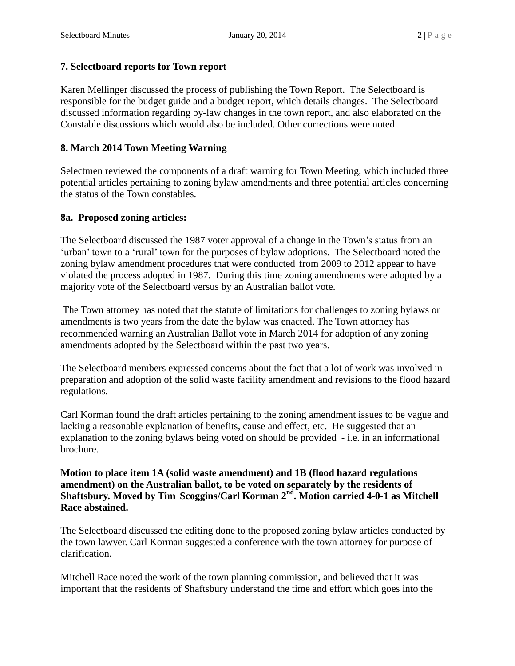# **7. Selectboard reports for Town report**

Karen Mellinger discussed the process of publishing the Town Report. The Selectboard is responsible for the budget guide and a budget report, which details changes. The Selectboard discussed information regarding by-law changes in the town report, and also elaborated on the Constable discussions which would also be included. Other corrections were noted.

# **8. March 2014 Town Meeting Warning**

Selectmen reviewed the components of a draft warning for Town Meeting, which included three potential articles pertaining to zoning bylaw amendments and three potential articles concerning the status of the Town constables.

#### **8a. Proposed zoning articles:**

The Selectboard discussed the 1987 voter approval of a change in the Town's status from an 'urban' town to a 'rural' town for the purposes of bylaw adoptions. The Selectboard noted the zoning bylaw amendment procedures that were conducted from 2009 to 2012 appear to have violated the process adopted in 1987. During this time zoning amendments were adopted by a majority vote of the Selectboard versus by an Australian ballot vote.

The Town attorney has noted that the statute of limitations for challenges to zoning bylaws or amendments is two years from the date the bylaw was enacted. The Town attorney has recommended warning an Australian Ballot vote in March 2014 for adoption of any zoning amendments adopted by the Selectboard within the past two years.

The Selectboard members expressed concerns about the fact that a lot of work was involved in preparation and adoption of the solid waste facility amendment and revisions to the flood hazard regulations.

Carl Korman found the draft articles pertaining to the zoning amendment issues to be vague and lacking a reasonable explanation of benefits, cause and effect, etc. He suggested that an explanation to the zoning bylaws being voted on should be provided - i.e. in an informational brochure.

**Motion to place item 1A (solid waste amendment) and 1B (flood hazard regulations amendment) on the Australian ballot, to be voted on separately by the residents of Shaftsbury. Moved by Tim Scoggins/Carl Korman 2nd. Motion carried 4-0-1 as Mitchell Race abstained.**

The Selectboard discussed the editing done to the proposed zoning bylaw articles conducted by the town lawyer. Carl Korman suggested a conference with the town attorney for purpose of clarification.

Mitchell Race noted the work of the town planning commission, and believed that it was important that the residents of Shaftsbury understand the time and effort which goes into the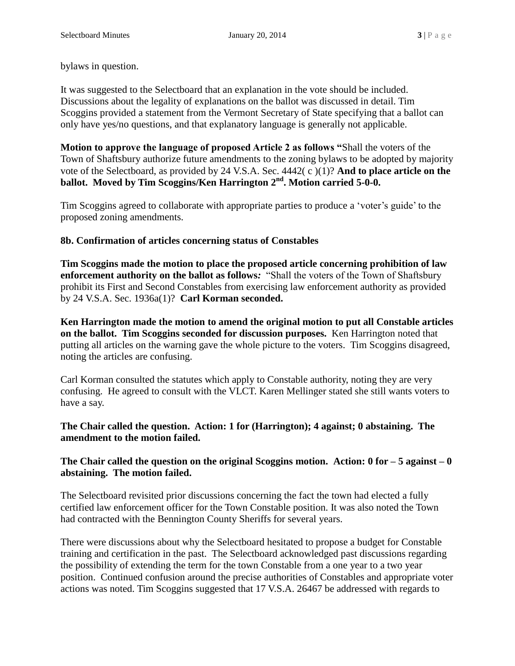bylaws in question.

It was suggested to the Selectboard that an explanation in the vote should be included. Discussions about the legality of explanations on the ballot was discussed in detail. Tim Scoggins provided a statement from the Vermont Secretary of State specifying that a ballot can only have yes/no questions, and that explanatory language is generally not applicable.

**Motion to approve the language of proposed Article 2 as follows "**Shall the voters of the Town of Shaftsbury authorize future amendments to the zoning bylaws to be adopted by majority vote of the Selectboard, as provided by 24 V.S.A. Sec. 4442( c )(1)? **And to place article on the ballot. Moved by Tim Scoggins/Ken Harrington 2nd . Motion carried 5-0-0.**

Tim Scoggins agreed to collaborate with appropriate parties to produce a 'voter's guide' to the proposed zoning amendments.

# **8b. Confirmation of articles concerning status of Constables**

**Tim Scoggins made the motion to place the proposed article concerning prohibition of law enforcement authority on the ballot as follows***:* "Shall the voters of the Town of Shaftsbury prohibit its First and Second Constables from exercising law enforcement authority as provided by 24 V.S.A. Sec. 1936a(1)?**Carl Korman seconded.**

**Ken Harrington made the motion to amend the original motion to put all Constable articles on the ballot. Tim Scoggins seconded for discussion purposes.** Ken Harrington noted that putting all articles on the warning gave the whole picture to the voters. Tim Scoggins disagreed, noting the articles are confusing.

Carl Korman consulted the statutes which apply to Constable authority, noting they are very confusing. He agreed to consult with the VLCT. Karen Mellinger stated she still wants voters to have a say.

# **The Chair called the question. Action: 1 for (Harrington); 4 against; 0 abstaining. The amendment to the motion failed.**

# **The Chair called the question on the original Scoggins motion. Action: 0 for – 5 against – 0 abstaining. The motion failed.**

The Selectboard revisited prior discussions concerning the fact the town had elected a fully certified law enforcement officer for the Town Constable position. It was also noted the Town had contracted with the Bennington County Sheriffs for several years.

There were discussions about why the Selectboard hesitated to propose a budget for Constable training and certification in the past. The Selectboard acknowledged past discussions regarding the possibility of extending the term for the town Constable from a one year to a two year position. Continued confusion around the precise authorities of Constables and appropriate voter actions was noted. Tim Scoggins suggested that 17 V.S.A. 26467 be addressed with regards to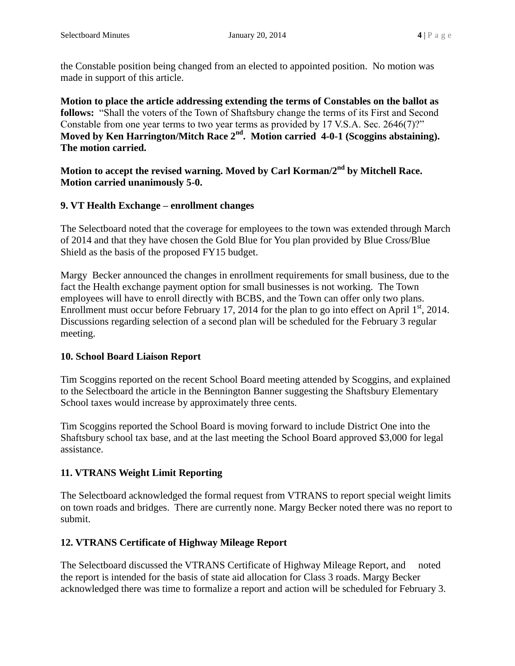the Constable position being changed from an elected to appointed position. No motion was made in support of this article.

**Motion to place the article addressing extending the terms of Constables on the ballot as follows:** "Shall the voters of the Town of Shaftsbury change the terms of its First and Second Constable from one year terms to two year terms as provided by 17 V.S.A. Sec. 2646(7)?" **Moved by Ken Harrington/Mitch Race 2nd . Motion carried 4-0-1 (Scoggins abstaining). The motion carried.**

**Motion to accept the revised warning. Moved by Carl Korman/2nd by Mitchell Race. Motion carried unanimously 5-0.** 

# **9. VT Health Exchange – enrollment changes**

The Selectboard noted that the coverage for employees to the town was extended through March of 2014 and that they have chosen the Gold Blue for You plan provided by Blue Cross/Blue Shield as the basis of the proposed FY15 budget.

Margy Becker announced the changes in enrollment requirements for small business, due to the fact the Health exchange payment option for small businesses is not working. The Town employees will have to enroll directly with BCBS, and the Town can offer only two plans. Enrollment must occur before February 17, 2014 for the plan to go into effect on April  $1<sup>st</sup>$ , 2014. Discussions regarding selection of a second plan will be scheduled for the February 3 regular meeting.

# **10. School Board Liaison Report**

Tim Scoggins reported on the recent School Board meeting attended by Scoggins, and explained to the Selectboard the article in the Bennington Banner suggesting the Shaftsbury Elementary School taxes would increase by approximately three cents.

Tim Scoggins reported the School Board is moving forward to include District One into the Shaftsbury school tax base, and at the last meeting the School Board approved \$3,000 for legal assistance.

# **11. VTRANS Weight Limit Reporting**

The Selectboard acknowledged the formal request from VTRANS to report special weight limits on town roads and bridges. There are currently none. Margy Becker noted there was no report to submit.

# **12. VTRANS Certificate of Highway Mileage Report**

The Selectboard discussed the VTRANS Certificate of Highway Mileage Report, and noted the report is intended for the basis of state aid allocation for Class 3 roads. Margy Becker acknowledged there was time to formalize a report and action will be scheduled for February 3.